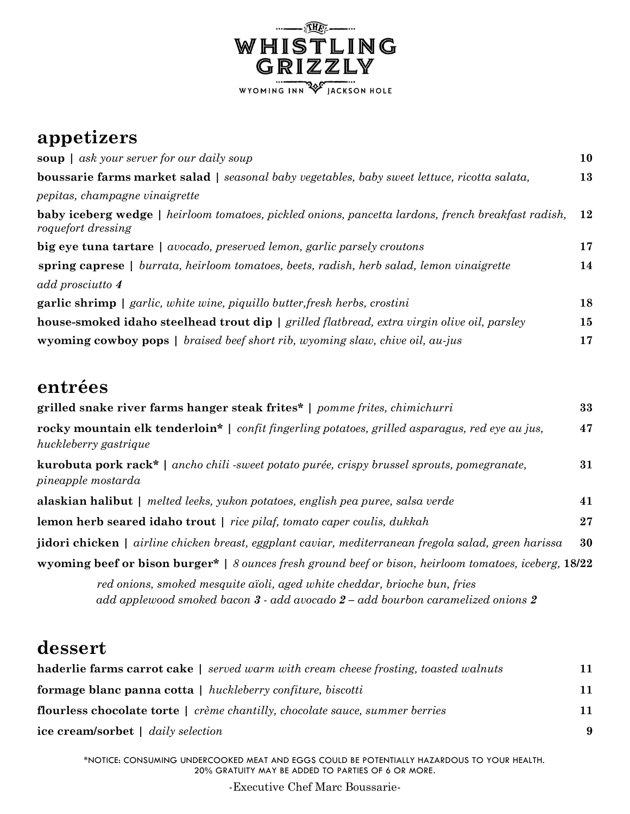

## **appetizers**

| soup $\vert$ ask your server for our daily soup                                                                                 | 10 |
|---------------------------------------------------------------------------------------------------------------------------------|----|
| <b>boussarie farms market salad</b>   seasonal baby vegetables, baby sweet lettuce, ricotta salata,                             | 13 |
| pepitas, champagne vinaigrette                                                                                                  |    |
| <b>baby iceberg wedge</b>   heirloom tomatoes, pickled onions, pancetta lardons, french breakfast radish,<br>roquefort dressing | 12 |
| <b>big eye tuna tartare</b>   avocado, preserved lemon, garlic parsely croutons                                                 | 17 |
| spring caprese   burrata, heirloom tomatoes, beets, radish, herb salad, lemon vinaigrette                                       | 14 |
| add prosciutto 4                                                                                                                |    |
| <b>garlic shrimp</b> $\vert$ garlic, white wine, piquillo butter, fresh herbs, crostini                                         | 18 |
| <b>house-smoked idaho steelhead trout dip</b>   grilled flatbread, extra virgin olive oil, parsley                              | 15 |
| <b>wyoming cowboy pops</b>   braised beef short rib, wyoming slaw, chive oil, au-jus                                            | 17 |

### **entrées**

| grilled snake river farms hanger steak frites*   pomme frites, chimichurri                                                      | 33 |
|---------------------------------------------------------------------------------------------------------------------------------|----|
| rocky mountain elk tenderloin*   confit fingerling potatoes, grilled asparagus, red eye au jus,<br>huckleberry gastrique        | 47 |
| <b>kurobuta pork rack*</b>   ancho chili -sweet potato purée, crispy brussel sprouts, pomegranate,<br><i>pineapple mostarda</i> | 31 |
| <b>alaskian halibut</b>   melted leeks, yukon potatoes, english pea puree, salsa verde                                          | 41 |
| <b>lemon herb seared idaho trout</b>   rice pilaf, tomato caper coulis, dukkah                                                  | 27 |
| <b>jidori chicken</b>   airline chicken breast, eggplant caviar, mediterranean fregola salad, green harissa                     | 30 |
| wyoming beef or bison burger*   8 ounces fresh ground beef or bison, heirloom tomatoes, iceberg, 18/22                          |    |
|                                                                                                                                 |    |

 *red onions, smoked mesquite aïoli, aged white cheddar, brioche bun, fries add applewood smoked bacon 3 - add avocado 2 – add bourbon caramelized onions 2*

# **dessert**

| <b>haderlie farms carrot cake</b>   served warm with cream cheese frosting, toasted walnuts                                      | 11       |
|----------------------------------------------------------------------------------------------------------------------------------|----------|
| <b>formage blanc panna cotta</b>   huckleberry confiture, biscotti                                                               | 11       |
| <b>flourless chocolate torte</b>   crème chantilly, chocolate sauce, summer berries<br><b>ice cream/sorbet</b>   daily selection | 11<br>-9 |

\*NOTICE: CONSUMING UNDERCOOKED MEAT AND EGGS COULD BE POTENTIALLY HAZARDOUS TO YOUR HEALTH. 20% GRATUITY MAY BE ADDED TO PARTIES OF 6 OR MORE.

-Executive Chef Marc Boussarie-